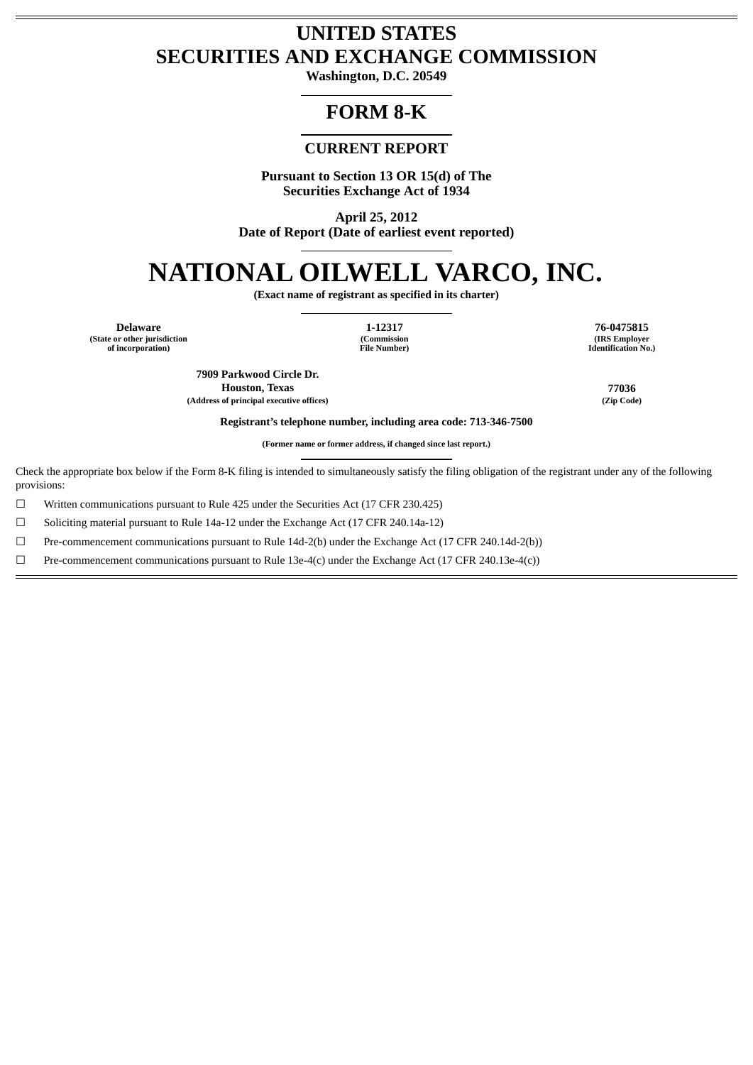## **UNITED STATES SECURITIES AND EXCHANGE COMMISSION**

**Washington, D.C. 20549**

## **FORM 8-K**

### **CURRENT REPORT**

**Pursuant to Section 13 OR 15(d) of The Securities Exchange Act of 1934**

**April 25, 2012 Date of Report (Date of earliest event reported)**

# **NATIONAL OILWELL VARCO, INC.**

**(Exact name of registrant as specified in its charter)**

**Delaware 1-12317 76-0475815 (State or other jurisdiction of incorporation)**

**(Commission File Number)**

**(IRS Employer Identification No.)**

**7909 Parkwood Circle Dr. Houston, Texas 77036**

**(Address of principal executive offices) (Zip Code)**

**Registrant's telephone number, including area code: 713-346-7500**

**(Former name or former address, if changed since last report.)**

Check the appropriate box below if the Form 8-K filing is intended to simultaneously satisfy the filing obligation of the registrant under any of the following provisions:

 $\Box$  Written communications pursuant to Rule 425 under the Securities Act (17 CFR 230.425)

☐ Soliciting material pursuant to Rule 14a-12 under the Exchange Act (17 CFR 240.14a-12)

☐ Pre-commencement communications pursuant to Rule 14d-2(b) under the Exchange Act (17 CFR 240.14d-2(b))

☐ Pre-commencement communications pursuant to Rule 13e-4(c) under the Exchange Act (17 CFR 240.13e-4(c))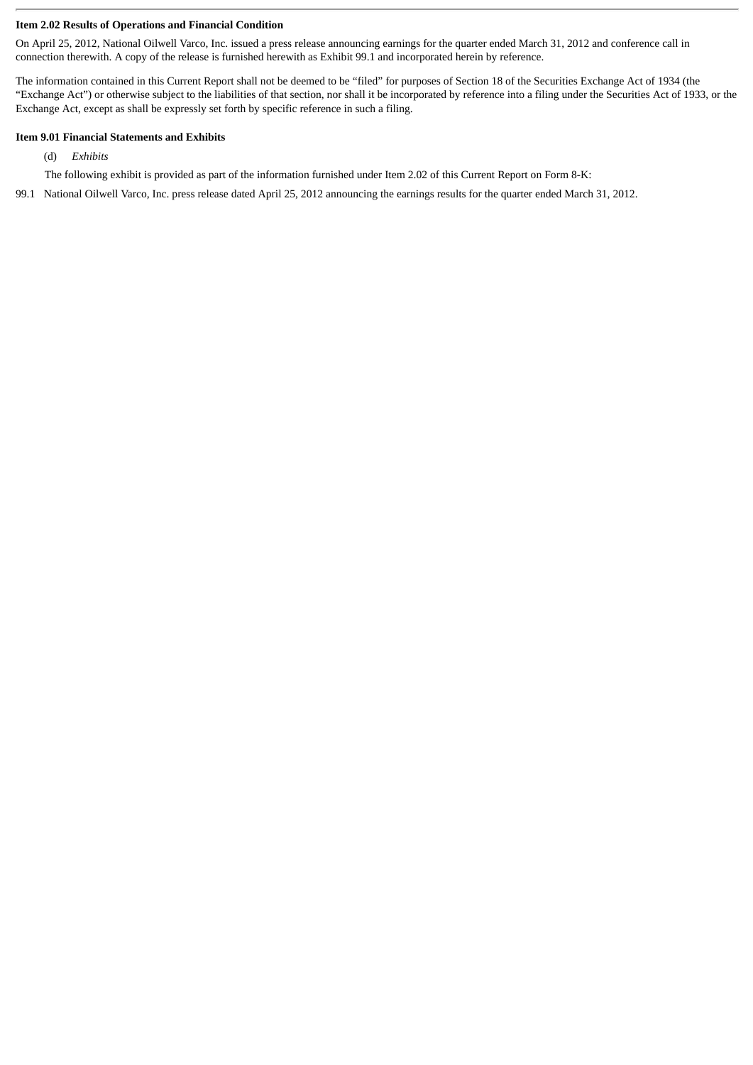#### **Item 2.02 Results of Operations and Financial Condition**

On April 25, 2012, National Oilwell Varco, Inc. issued a press release announcing earnings for the quarter ended March 31, 2012 and conference call in connection therewith. A copy of the release is furnished herewith as Exhibit 99.1 and incorporated herein by reference.

The information contained in this Current Report shall not be deemed to be "filed" for purposes of Section 18 of the Securities Exchange Act of 1934 (the "Exchange Act") or otherwise subject to the liabilities of that section, nor shall it be incorporated by reference into a filing under the Securities Act of 1933, or the Exchange Act, except as shall be expressly set forth by specific reference in such a filing.

#### **Item 9.01 Financial Statements and Exhibits**

- (d) *Exhibits*
- The following exhibit is provided as part of the information furnished under Item 2.02 of this Current Report on Form 8-K:
- 99.1 National Oilwell Varco, Inc. press release dated April 25, 2012 announcing the earnings results for the quarter ended March 31, 2012.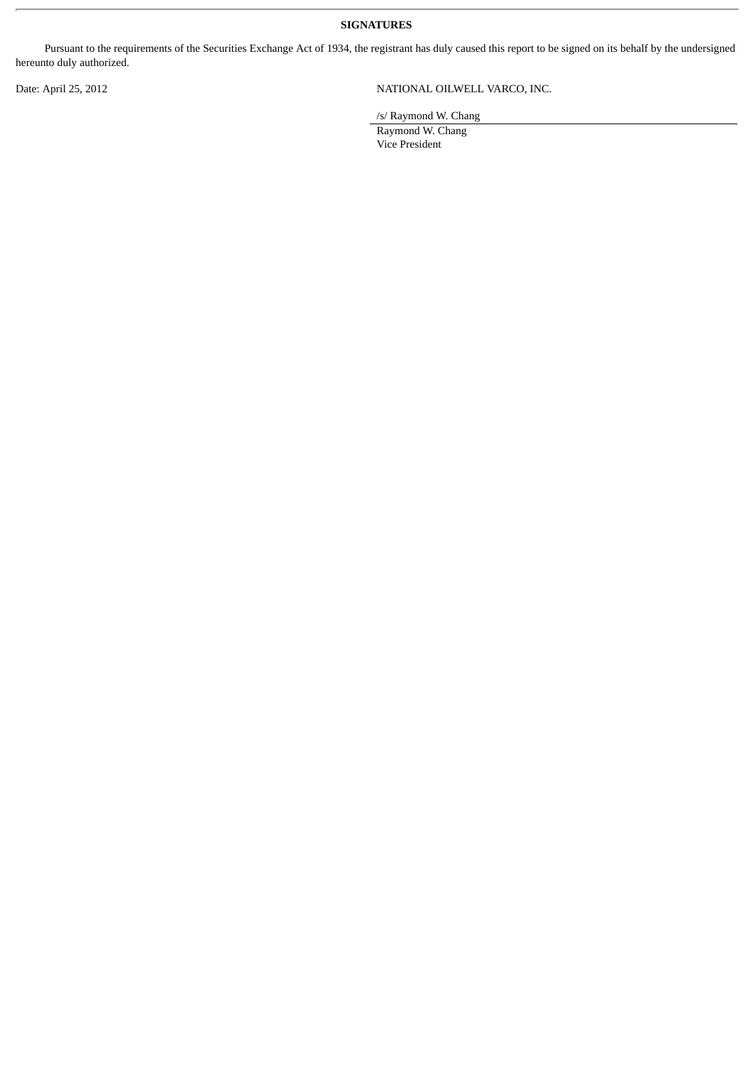**SIGNATURES**

Pursuant to the requirements of the Securities Exchange Act of 1934, the registrant has duly caused this report to be signed on its behalf by the undersigned hereunto duly authorized.

#### Date: April 25, 2012 <br>
NATIONAL OILWELL VARCO, INC.

/s/ Raymond W. Chang

Raymond W. Chang Vice President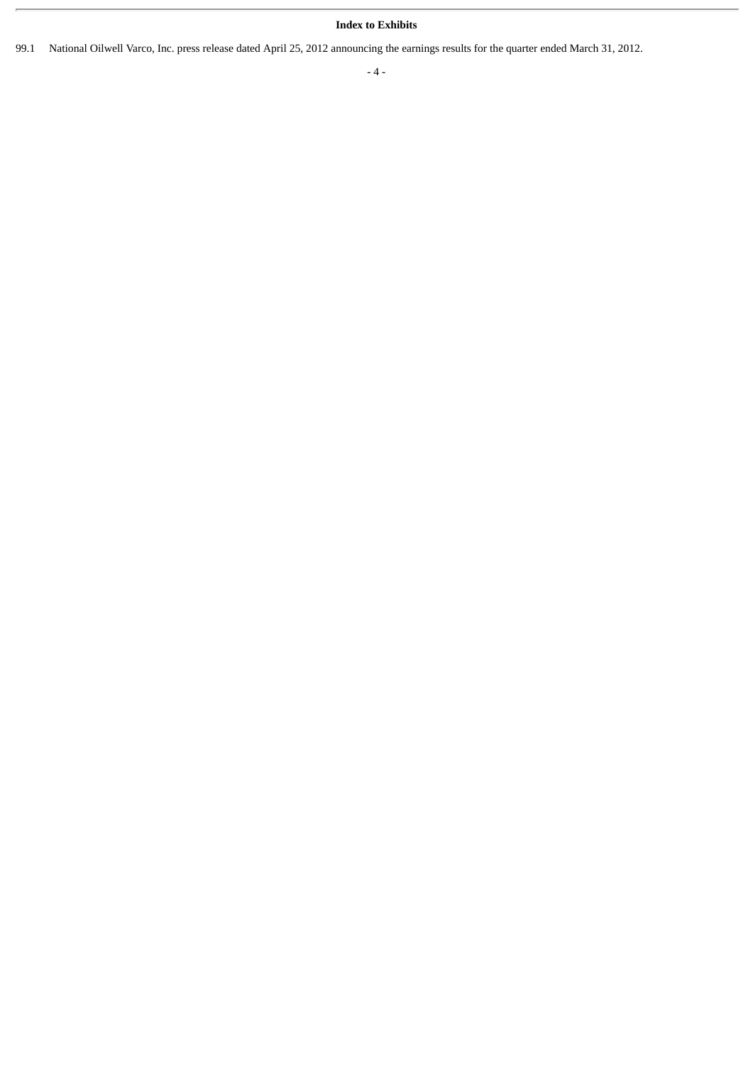#### **Index to Exhibits**

99.1 National Oilwell Varco, Inc. press release dated April 25, 2012 announcing the earnings results for the quarter ended March 31, 2012.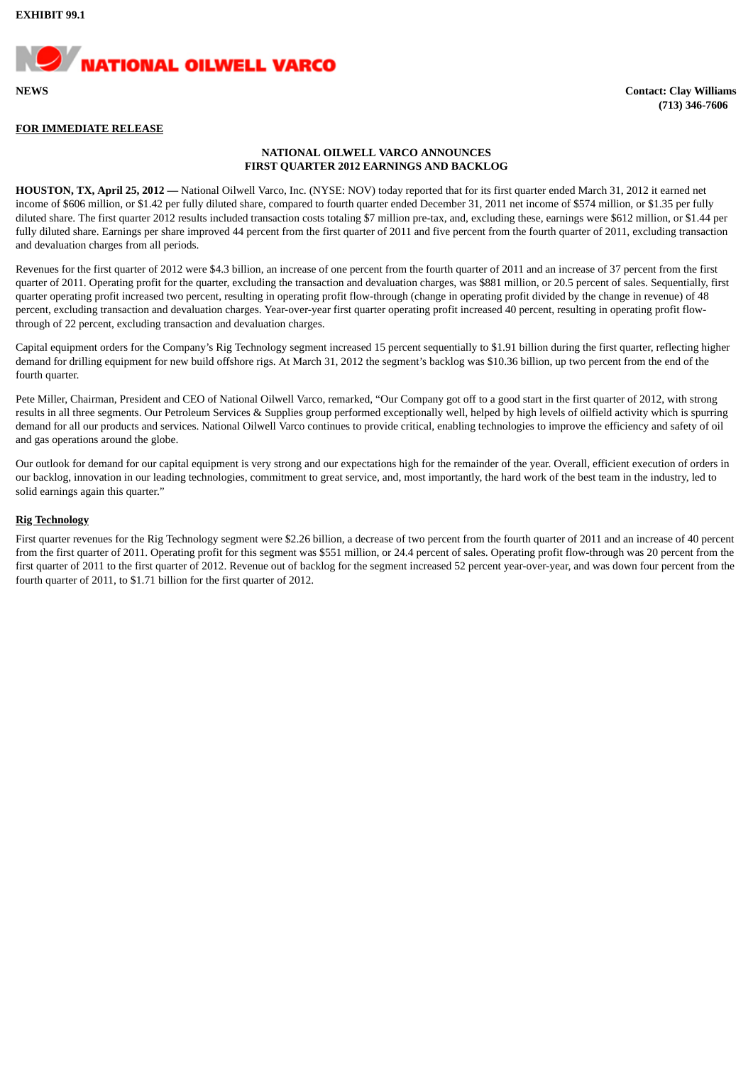

#### **FOR IMMEDIATE RELEASE**

#### **NATIONAL OILWELL VARCO ANNOUNCES FIRST QUARTER 2012 EARNINGS AND BACKLOG**

**HOUSTON, TX, April 25, 2012 —** National Oilwell Varco, Inc. (NYSE: NOV) today reported that for its first quarter ended March 31, 2012 it earned net income of \$606 million, or \$1.42 per fully diluted share, compared to fourth quarter ended December 31, 2011 net income of \$574 million, or \$1.35 per fully diluted share. The first quarter 2012 results included transaction costs totaling \$7 million pre-tax, and, excluding these, earnings were \$612 million, or \$1.44 per fully diluted share. Earnings per share improved 44 percent from the first quarter of 2011 and five percent from the fourth quarter of 2011, excluding transaction and devaluation charges from all periods.

Revenues for the first quarter of 2012 were \$4.3 billion, an increase of one percent from the fourth quarter of 2011 and an increase of 37 percent from the first quarter of 2011. Operating profit for the quarter, excluding the transaction and devaluation charges, was \$881 million, or 20.5 percent of sales. Sequentially, first quarter operating profit increased two percent, resulting in operating profit flow-through (change in operating profit divided by the change in revenue) of 48 percent, excluding transaction and devaluation charges. Year-over-year first quarter operating profit increased 40 percent, resulting in operating profit flowthrough of 22 percent, excluding transaction and devaluation charges.

Capital equipment orders for the Company's Rig Technology segment increased 15 percent sequentially to \$1.91 billion during the first quarter, reflecting higher demand for drilling equipment for new build offshore rigs. At March 31, 2012 the segment's backlog was \$10.36 billion, up two percent from the end of the fourth quarter.

Pete Miller, Chairman, President and CEO of National Oilwell Varco, remarked, "Our Company got off to a good start in the first quarter of 2012, with strong results in all three segments. Our Petroleum Services & Supplies group performed exceptionally well, helped by high levels of oilfield activity which is spurring demand for all our products and services. National Oilwell Varco continues to provide critical, enabling technologies to improve the efficiency and safety of oil and gas operations around the globe.

Our outlook for demand for our capital equipment is very strong and our expectations high for the remainder of the year. Overall, efficient execution of orders in our backlog, innovation in our leading technologies, commitment to great service, and, most importantly, the hard work of the best team in the industry, led to solid earnings again this quarter."

#### **Rig Technology**

First quarter revenues for the Rig Technology segment were \$2.26 billion, a decrease of two percent from the fourth quarter of 2011 and an increase of 40 percent from the first quarter of 2011. Operating profit for this segment was \$551 million, or 24.4 percent of sales. Operating profit flow-through was 20 percent from the first quarter of 2011 to the first quarter of 2012. Revenue out of backlog for the segment increased 52 percent year-over-year, and was down four percent from the fourth quarter of 2011, to \$1.71 billion for the first quarter of 2012.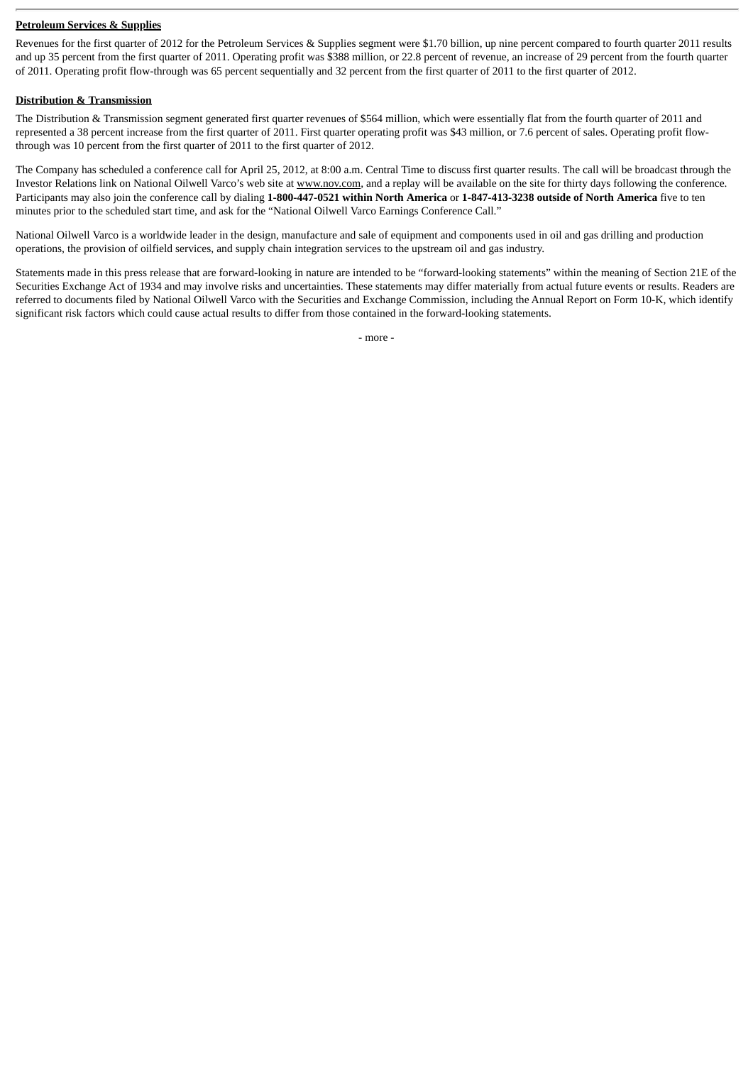#### **Petroleum Services & Supplies**

Revenues for the first quarter of 2012 for the Petroleum Services & Supplies segment were \$1.70 billion, up nine percent compared to fourth quarter 2011 results and up 35 percent from the first quarter of 2011. Operating profit was \$388 million, or 22.8 percent of revenue, an increase of 29 percent from the fourth quarter of 2011. Operating profit flow-through was 65 percent sequentially and 32 percent from the first quarter of 2011 to the first quarter of 2012.

#### **Distribution & Transmission**

The Distribution & Transmission segment generated first quarter revenues of \$564 million, which were essentially flat from the fourth quarter of 2011 and represented a 38 percent increase from the first quarter of 2011. First quarter operating profit was \$43 million, or 7.6 percent of sales. Operating profit flowthrough was 10 percent from the first quarter of 2011 to the first quarter of 2012.

The Company has scheduled a conference call for April 25, 2012, at 8:00 a.m. Central Time to discuss first quarter results. The call will be broadcast through the Investor Relations link on National Oilwell Varco's web site at www.nov.com, and a replay will be available on the site for thirty days following the conference. Participants may also join the conference call by dialing **1-800-447-0521 within North America** or **1-847-413-3238 outside of North America** five to ten minutes prior to the scheduled start time, and ask for the "National Oilwell Varco Earnings Conference Call."

National Oilwell Varco is a worldwide leader in the design, manufacture and sale of equipment and components used in oil and gas drilling and production operations, the provision of oilfield services, and supply chain integration services to the upstream oil and gas industry.

Statements made in this press release that are forward-looking in nature are intended to be "forward-looking statements" within the meaning of Section 21E of the Securities Exchange Act of 1934 and may involve risks and uncertainties. These statements may differ materially from actual future events or results. Readers are referred to documents filed by National Oilwell Varco with the Securities and Exchange Commission, including the Annual Report on Form 10-K, which identify significant risk factors which could cause actual results to differ from those contained in the forward-looking statements.

- more -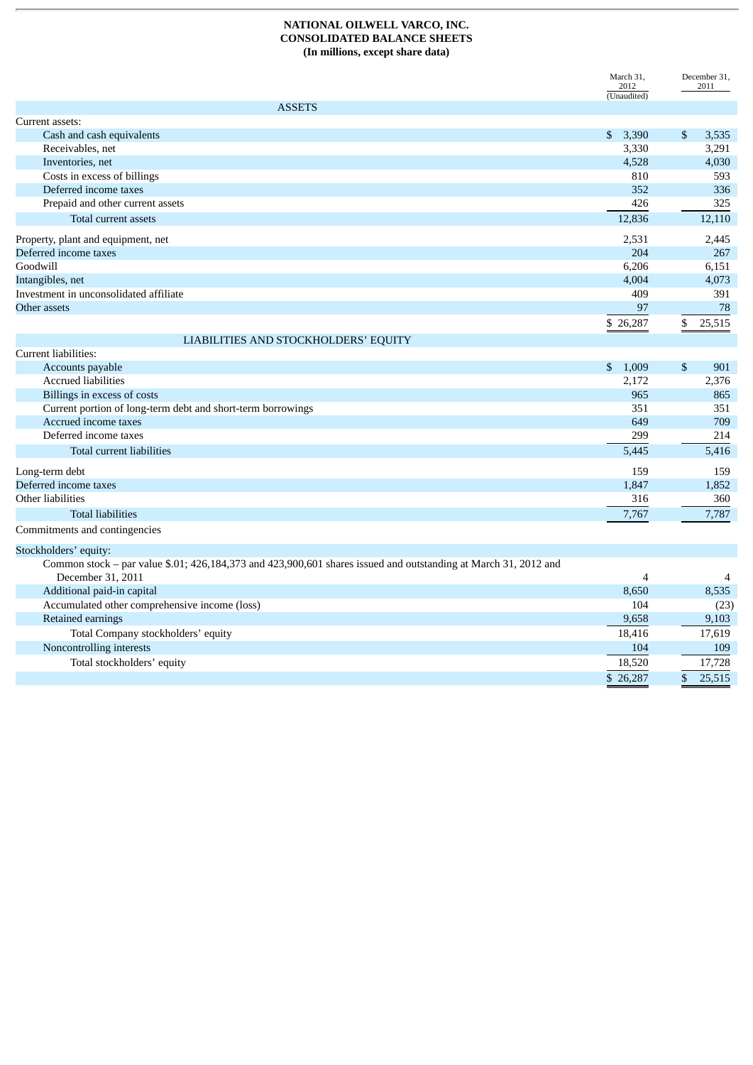#### **NATIONAL OILWELL VARCO, INC. CONSOLIDATED BALANCE SHEETS (In millions, except share data)**

|                                                                                                                 | March 31,<br>2012               | December 31,<br>2011    |
|-----------------------------------------------------------------------------------------------------------------|---------------------------------|-------------------------|
| <b>ASSETS</b>                                                                                                   | $\overline{\text{(Unaudited)}}$ |                         |
| Current assets:                                                                                                 |                                 |                         |
| Cash and cash equivalents                                                                                       | $\mathbb{S}$<br>3,390           | $\mathfrak{S}$<br>3,535 |
| Receivables, net                                                                                                | 3,330                           | 3,291                   |
| Inventories, net                                                                                                | 4,528                           | 4,030                   |
| Costs in excess of billings                                                                                     | 810                             | 593                     |
| Deferred income taxes                                                                                           | 352                             | 336                     |
| Prepaid and other current assets                                                                                | 426                             | 325                     |
| Total current assets                                                                                            | 12,836                          | 12,110                  |
|                                                                                                                 |                                 |                         |
| Property, plant and equipment, net                                                                              | 2,531                           | 2,445                   |
| Deferred income taxes                                                                                           | 204                             | 267                     |
| Goodwill                                                                                                        | 6,206                           | 6,151                   |
| Intangibles, net                                                                                                | 4,004                           | 4,073                   |
| Investment in unconsolidated affiliate                                                                          | 409                             | 391                     |
| Other assets                                                                                                    | 97                              | 78                      |
|                                                                                                                 | \$26,287                        | 25,515<br>\$            |
| LIABILITIES AND STOCKHOLDERS' EQUITY                                                                            |                                 |                         |
| Current liabilities:                                                                                            |                                 |                         |
| Accounts payable                                                                                                | \$1,009                         | $\mathbb{S}$<br>901     |
| <b>Accrued liabilities</b>                                                                                      | 2.172                           | 2.376                   |
| Billings in excess of costs                                                                                     | 965                             | 865                     |
| Current portion of long-term debt and short-term borrowings                                                     | 351                             | 351                     |
| Accrued income taxes                                                                                            | 649                             | 709                     |
| Deferred income taxes                                                                                           | 299                             | 214                     |
| Total current liabilities                                                                                       | 5,445                           | 5,416                   |
| Long-term debt                                                                                                  | 159                             | 159                     |
| Deferred income taxes                                                                                           | 1,847                           | 1,852                   |
| Other liabilities                                                                                               | 316                             | 360                     |
| <b>Total liabilities</b>                                                                                        | 7,767                           | 7,787                   |
| Commitments and contingencies                                                                                   |                                 |                         |
| Stockholders' equity:                                                                                           |                                 |                         |
| Common stock - par value \$.01; 426,184,373 and 423,900,601 shares issued and outstanding at March 31, 2012 and |                                 |                         |
| December 31, 2011                                                                                               | $\overline{4}$                  |                         |
| Additional paid-in capital                                                                                      | 8,650                           | 8,535                   |
| Accumulated other comprehensive income (loss)                                                                   | 104                             | (23)                    |
| Retained earnings                                                                                               | 9,658                           | 9,103                   |
| Total Company stockholders' equity                                                                              | 18,416                          | 17,619                  |
| Noncontrolling interests                                                                                        | 104                             | 109                     |
| Total stockholders' equity                                                                                      | 18,520                          | 17,728                  |
|                                                                                                                 | \$26,287                        | $\mathbb{S}$<br>25,515  |
|                                                                                                                 |                                 |                         |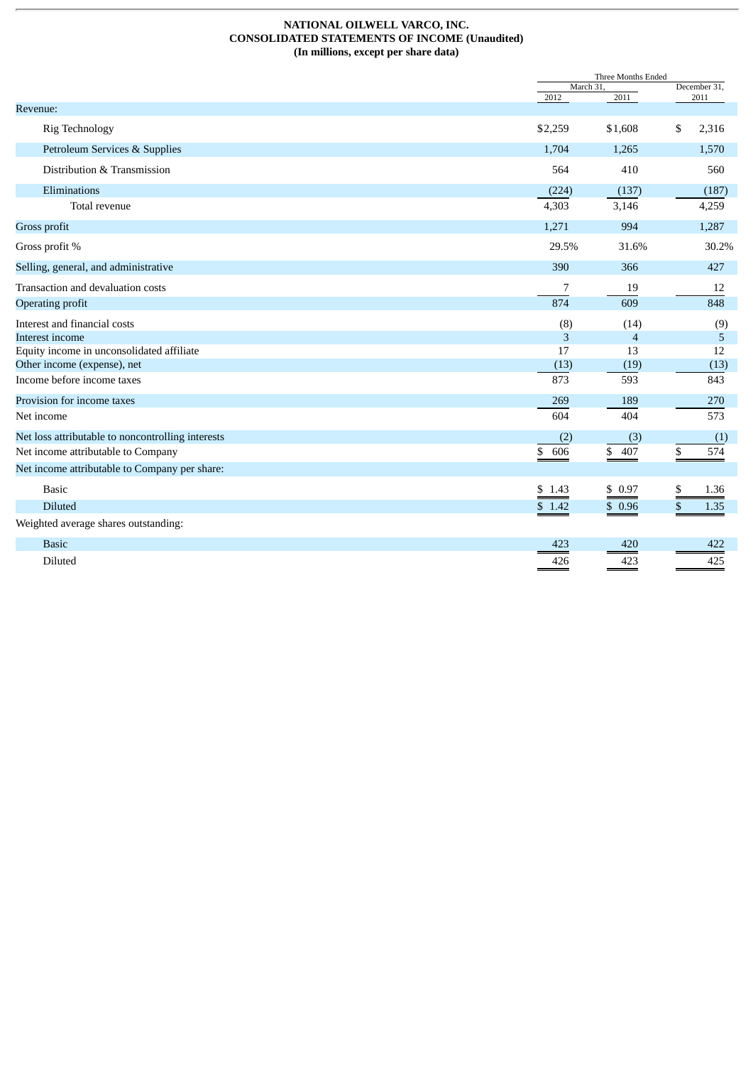#### **NATIONAL OILWELL VARCO, INC. CONSOLIDATED STATEMENTS OF INCOME (Unaudited) (In millions, except per share data)**

|                                                   |           | Three Months Ended    |                      |  |
|---------------------------------------------------|-----------|-----------------------|----------------------|--|
|                                                   | 2012      | March 31.<br>2011     | December 31,<br>2011 |  |
| Revenue:                                          |           |                       |                      |  |
| <b>Rig Technology</b>                             | \$2,259   | \$1,608               | \$<br>2,316          |  |
| Petroleum Services & Supplies                     | 1,704     | 1,265                 | 1,570                |  |
| Distribution & Transmission                       | 564       | 410                   | 560                  |  |
| Eliminations                                      | (224)     | (137)                 | (187)                |  |
| Total revenue                                     | 4,303     | 3,146                 | 4,259                |  |
| Gross profit                                      | 1,271     | 994                   | 1,287                |  |
| Gross profit %                                    | 29.5%     | 31.6%                 | 30.2%                |  |
| Selling, general, and administrative              | 390       | 366                   | 427                  |  |
| Transaction and devaluation costs                 | 7         | 19                    | 12                   |  |
| <b>Operating profit</b>                           | 874       | 609                   | 848                  |  |
| Interest and financial costs                      | (8)       | (14)                  | (9)                  |  |
| Interest income                                   | 3         | $\overline{4}$        | 5                    |  |
| Equity income in unconsolidated affiliate         | 17        | 13                    | 12                   |  |
| Other income (expense), net                       | (13)      | (19)                  | (13)                 |  |
| Income before income taxes                        | 873       | 593                   | 843                  |  |
| Provision for income taxes                        | 269       | 189                   | 270                  |  |
| Net income                                        | 604       | 404                   | 573                  |  |
| Net loss attributable to noncontrolling interests | (2)       | (3)                   | (1)                  |  |
| Net income attributable to Company                | 606<br>\$ | $\frac{407}{1}$<br>\$ | \$<br>574            |  |
| Net income attributable to Company per share:     |           |                       |                      |  |
| <b>Basic</b>                                      | \$1.43    | \$0.97                | \$<br>1.36           |  |
| <b>Diluted</b>                                    | \$1.42    | \$0.96                | \$<br>1.35           |  |
| Weighted average shares outstanding:              |           |                       |                      |  |
| <b>Basic</b>                                      | 423       | 420                   | 422                  |  |
| Diluted                                           | 426       | 423                   | 425                  |  |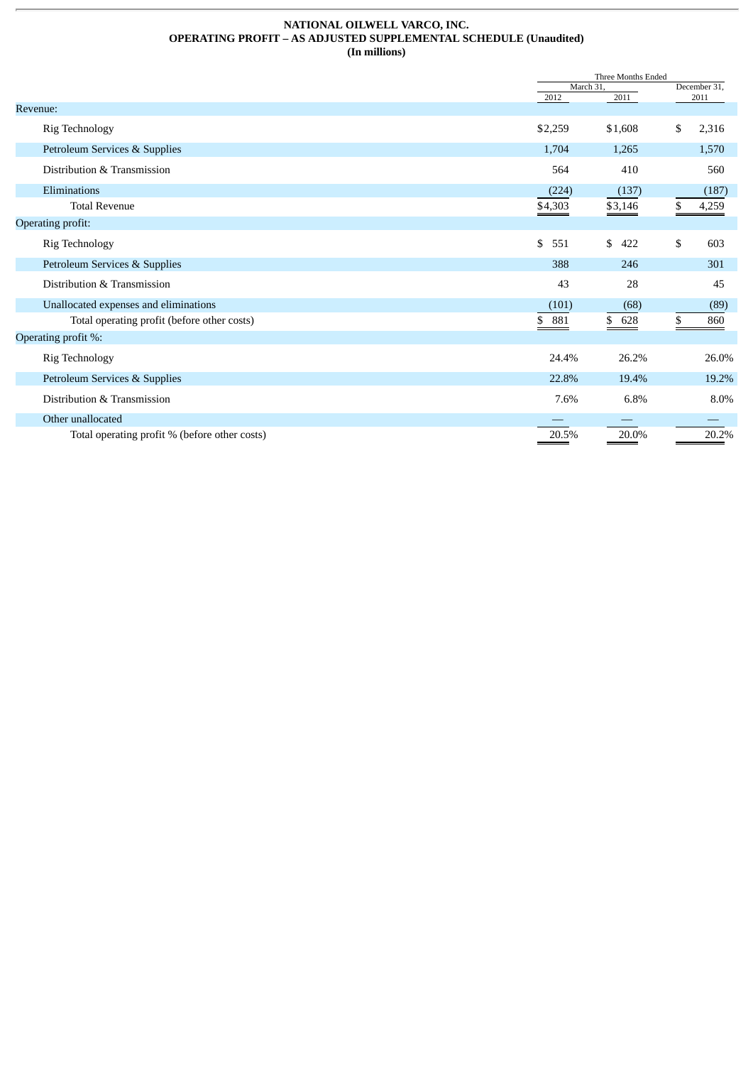#### **NATIONAL OILWELL VARCO, INC. OPERATING PROFIT – AS ADJUSTED SUPPLEMENTAL SCHEDULE (Unaudited) (In millions)**

|                                               |           | Three Months Ended |    |              |  |
|-----------------------------------------------|-----------|--------------------|----|--------------|--|
|                                               |           | March 31,          |    | December 31, |  |
| Revenue:                                      | 2012      | 2011               |    | 2011         |  |
| <b>Rig Technology</b>                         | \$2,259   | \$1,608            | \$ | 2,316        |  |
| Petroleum Services & Supplies                 | 1,704     | 1,265              |    | 1,570        |  |
| Distribution & Transmission                   | 564       | 410                |    | 560          |  |
| Eliminations                                  | (224)     | (137)              |    | (187)        |  |
| <b>Total Revenue</b>                          | \$4,303   | \$3,146            |    | 4,259        |  |
| <b>Operating profit:</b>                      |           |                    |    |              |  |
| <b>Rig Technology</b>                         | \$<br>551 | \$<br>422          | \$ | 603          |  |
| Petroleum Services & Supplies                 | 388       | 246                |    | 301          |  |
| Distribution & Transmission                   | 43        | 28                 |    | 45           |  |
| Unallocated expenses and eliminations         | (101)     | (68)               |    | (89)         |  |
| Total operating profit (before other costs)   | \$ 881    | \$<br>628          | \$ | 860          |  |
| Operating profit %:                           |           |                    |    |              |  |
| <b>Rig Technology</b>                         | 24.4%     | 26.2%              |    | 26.0%        |  |
| Petroleum Services & Supplies                 | 22.8%     | 19.4%              |    | 19.2%        |  |
| Distribution & Transmission                   | 7.6%      | 6.8%               |    | 8.0%         |  |
| Other unallocated                             |           |                    |    |              |  |
| Total operating profit % (before other costs) | 20.5%     | 20.0%              |    | 20.2%        |  |